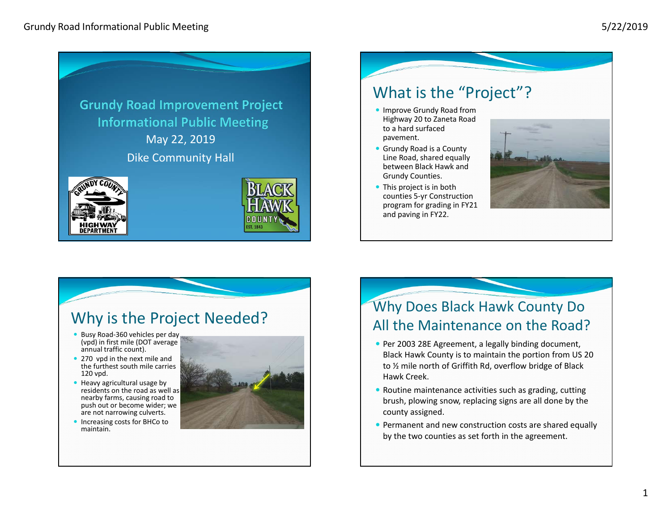

# What is the "Project"?

- **Improve Grundy Road from** Highway 20 to Zaneta Road to <sup>a</sup> hard surfaced pavement.
- Grundy Road is <sup>a</sup> County Line Road, shared equally between Black Hawk and Grundy Counties.
- This project is in both counties 5‐yr Construction program for grading in FY21 and paving in FY22.



#### Why is the Project Needed?

- Busy Road-360 vehicles per day (vpd) in first mile (DOT average annual traffic count).
- 270 vpd in the next mile and the furthest south mile carries 120 vpd.
- Heavy agricultural usage by residents on the road as well as nearby farms, causing road to push out or become wider; we are not narrowing culverts.
- Increasing costs for BHCo to maintain.



#### Why Does Black Hawk County Do All the Maintenance on the Road?

- Per 2003 28E Agreement, a legally binding document, Black Hawk County is to maintain the portion from US 20 to ½ mile north of Griffith Rd, overflow bridge of Black Hawk Creek.
- Routine maintenance activities such as grading, cutting brush, plowing snow, replacing signs are all done by the county assigned.
- Permanent and new construction costs are shared equally by the two counties as set forth in the agreement.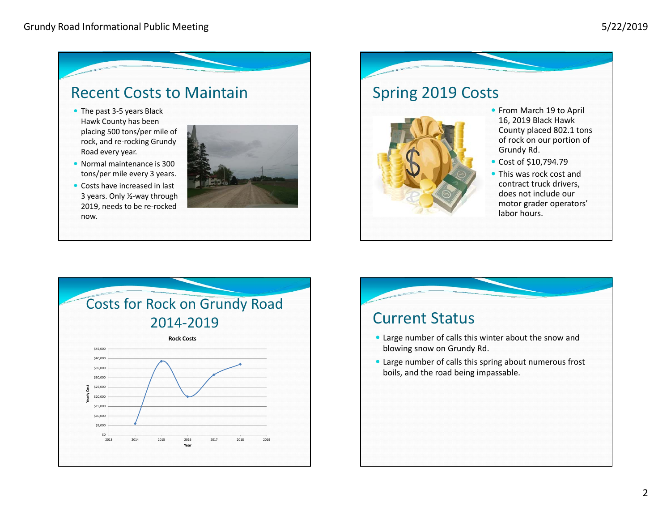## Recent Costs to Maintain

- The past 3-5 years Black Hawk County has been placing 500 tons/per mile of rock, and re‐rocking Grundy Road every year.
- Normal maintenance is 300 tons/per mile every 3 years.
- Costs have increased in last 3 years. Only ½‐way through 2019, needs to be re‐rocked now.



### Spring 2019 Costs



- From March 19 to April 16, 2019 Black Hawk County placed 802.1 tons of rock on our portion of Grundy Rd.
- Cost of \$10,794.79
- This was rock cost and contract truck drivers, does not include our motor grader operators' labor hours.



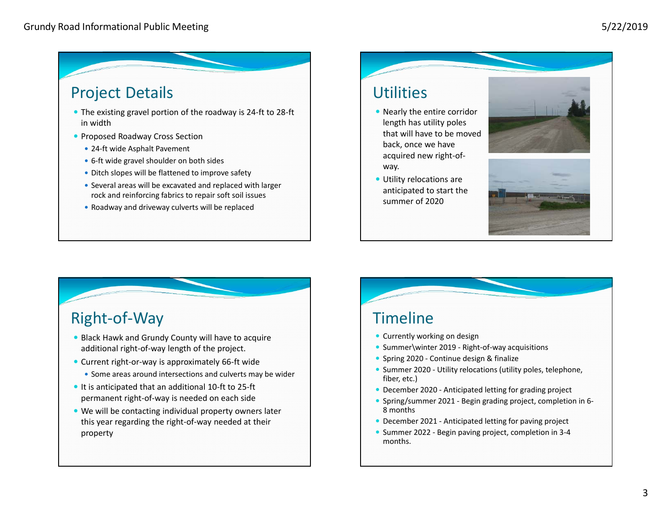# Project Details

- The existing gravel portion of the roadway is 24‐ft to 28‐ft in width
- Proposed Roadway Cross Section
	- 24-ft wide Asphalt Pavement
	- 6-ft wide gravel shoulder on both sides
	- Ditch slopes will be flattened to improve safety
	- Several areas will be excavated and replaced with larger rock and reinforcing fabrics to repair soft soil issues
	- Roadway and driveway culverts will be replaced

### **Utilities**

- Nearly the entire corridor length has utility poles that will have to be moved back, once we have acquired new right‐of‐ way.
- Utility relocations are anticipated to start the summer of 2020





# Right‐of‐Way

- Black Hawk and Grundy County will have to acquire additional right‐of‐way length of the project.
- Current right-or-way is approximately 66-ft wide
	- Some areas around intersections and culverts may be wider
- It is anticipated that an additional 10-ft to 25-ft permanent right‐of‐way is needed on each side
- We will be contacting individual property owners later this year regarding the right‐of‐way needed at their property

### Timeline

- Currently working on design
- Summer\winter 2019 Right-of-way acquisitions
- Spring 2020 Continue design & finalize
- Summer 2020 Utility relocations (utility poles, telephone, fiber, etc.)
- December 2020 Anticipated letting for grading project
- Spring/summer 2021 Begin grading project, completion in 6-8 months
- December 2021 Anticipated letting for paving project
- Summer 2022 Begin paving project, completion in 3-4 months.